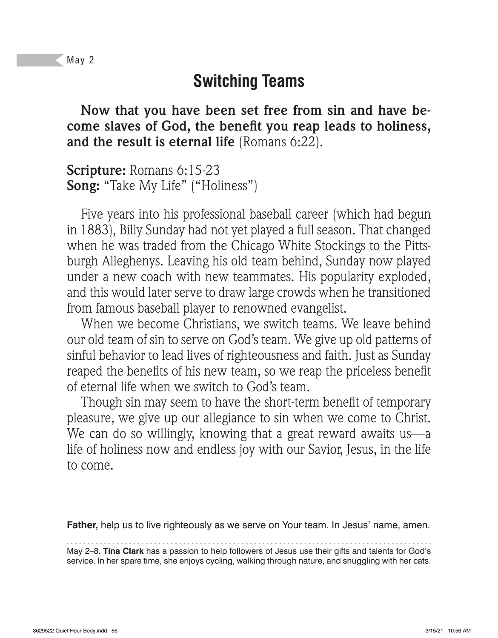## **Switching Teams**

**Now that you have been set free from sin and have be**come slaves of God, the benefit you reap leads to holiness, **and the result is eternal life** (Romans 6:22).

**Scripture:** Romans 6:15-23 **Song:** "Take My Life" ("Holiness")

Five years into his professional baseball career (which had begun in 1883), Billy Sunday had not yet played a full season. That changed when he was traded from the Chicago White Stockings to the Pittsburgh Alleghenys. Leaving his old team behind, Sunday now played under a new coach with new teammates. His popularity exploded, and this would later serve to draw large crowds when he transitioned from famous baseball player to renowned evangelist.

When we become Christians, we switch teams. We leave behind our old team of sin to serve on God's team. We give up old patterns of sinful behavior to lead lives of righteousness and faith. Just as Sunday reaped the benefits of his new team, so we reap the priceless benefit of eternal life when we switch to God's team.

Though sin may seem to have the short-term benefit of temporary pleasure, we give up our allegiance to sin when we come to Christ. We can do so willingly, knowing that a great reward awaits us—a life of holiness now and endless joy with our Savior, Jesus, in the life to come.

**Father,** help us to live righteously as we serve on Your team. In Jesus' name, amen.

May 2–8. **Tina Clark** has a passion to help followers of Jesus use their gifts and talents for God's service. In her spare time, she enjoys cycling, walking through nature, and snuggling with her cats.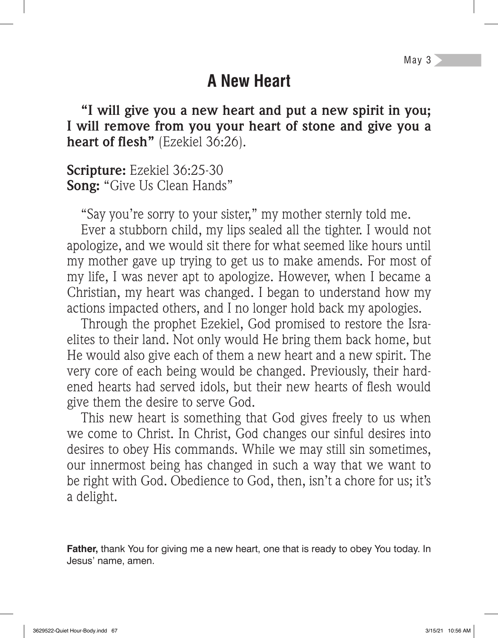#### **A New Heart**

**"I will give you a new heart and put a new spirit in you; I will remove from you your heart of stone and give you a**  heart of flesh" (Ezekiel 36:26).

**Scripture:** Ezekiel 36:25-30 **Song:** "Give Us Clean Hands"

"Say you're sorry to your sister," my mother sternly told me.

Ever a stubborn child, my lips sealed all the tighter. I would not apologize, and we would sit there for what seemed like hours until my mother gave up trying to get us to make amends. For most of my life, I was never apt to apologize. However, when I became a Christian, my heart was changed. I began to understand how my actions impacted others, and I no longer hold back my apologies.

Through the prophet Ezekiel, God promised to restore the Israelites to their land. Not only would He bring them back home, but He would also give each of them a new heart and a new spirit. The very core of each being would be changed. Previously, their hardened hearts had served idols, but their new hearts of flesh would give them the desire to serve God.

This new heart is something that God gives freely to us when we come to Christ. In Christ, God changes our sinful desires into desires to obey His commands. While we may still sin sometimes, our innermost being has changed in such a way that we want to be right with God. Obedience to God, then, isn't a chore for us; it's a delight.

**Father,** thank You for giving me a new heart, one that is ready to obey You today. In Jesus' name, amen.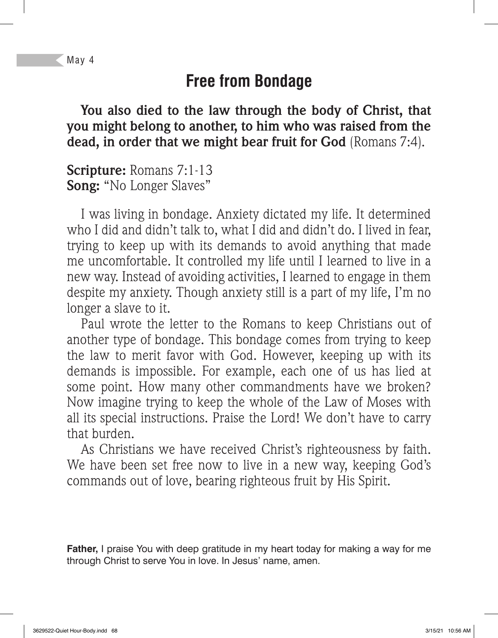## **Free from Bondage**

**You also died to the law through the body of Christ, that you might belong to another, to him who was raised from the dead, in order that we might bear fruit for God** (Romans 7:4).

**Scripture:** Romans 7:1-13 **Song:** "No Longer Slaves"

I was living in bondage. Anxiety dictated my life. It determined who I did and didn't talk to, what I did and didn't do. I lived in fear, trying to keep up with its demands to avoid anything that made me uncomfortable. It controlled my life until I learned to live in a new way. Instead of avoiding activities, I learned to engage in them despite my anxiety. Though anxiety still is a part of my life, I'm no longer a slave to it.

Paul wrote the letter to the Romans to keep Christians out of another type of bondage. This bondage comes from trying to keep the law to merit favor with God. However, keeping up with its demands is impossible. For example, each one of us has lied at some point. How many other commandments have we broken? Now imagine trying to keep the whole of the Law of Moses with all its special instructions. Praise the Lord! We don't have to carry that burden.

As Christians we have received Christ's righteousness by faith. We have been set free now to live in a new way, keeping God's commands out of love, bearing righteous fruit by His Spirit.

**Father,** I praise You with deep gratitude in my heart today for making a way for me through Christ to serve You in love. In Jesus' name, amen.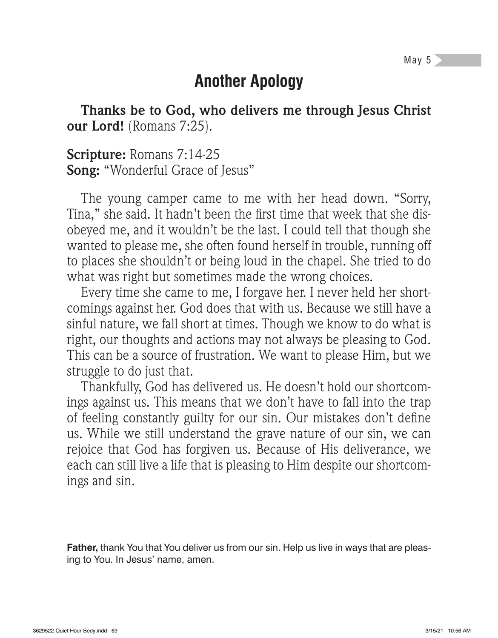#### **Another Apology**

**Thanks be to God, who delivers me through Jesus Christ our Lord!** (Romans 7:25).

**Scripture:** Romans 7:14-25 **Song:** "Wonderful Grace of Jesus"

The young camper came to me with her head down. "Sorry, Tina," she said. It hadn't been the first time that week that she disobeyed me, and it wouldn't be the last. I could tell that though she wanted to please me, she often found herself in trouble, running off to places she shouldn't or being loud in the chapel. She tried to do what was right but sometimes made the wrong choices.

Every time she came to me, I forgave her. I never held her shortcomings against her. God does that with us. Because we still have a sinful nature, we fall short at times. Though we know to do what is right, our thoughts and actions may not always be pleasing to God. This can be a source of frustration. We want to please Him, but we struggle to do just that.

Thankfully, God has delivered us. He doesn't hold our shortcomings against us. This means that we don't have to fall into the trap of feeling constantly guilty for our sin. Our mistakes don't define us. While we still understand the grave nature of our sin, we can rejoice that God has forgiven us. Because of His deliverance, we each can still live a life that is pleasing to Him despite our shortcomings and sin.

**Father,** thank You that You deliver us from our sin. Help us live in ways that are pleasing to You. In Jesus' name, amen.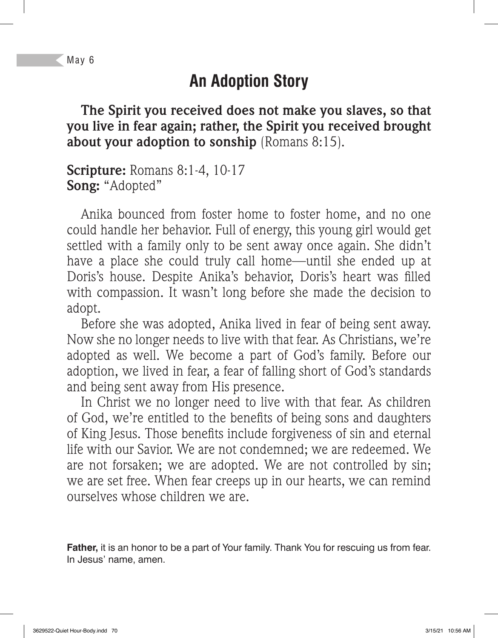# **An Adoption Story**

**The Spirit you received does not make you slaves, so that you live in fear again; rather, the Spirit you received brought about your adoption to sonship** (Romans 8:15).

**Scripture:** Romans 8:1-4, 10-17 **Song:** "Adopted"

Anika bounced from foster home to foster home, and no one could handle her behavior. Full of energy, this young girl would get settled with a family only to be sent away once again. She didn't have a place she could truly call home—until she ended up at Doris's house. Despite Anika's behavior, Doris's heart was filled with compassion. It wasn't long before she made the decision to adopt.

Before she was adopted, Anika lived in fear of being sent away. Now she no longer needs to live with that fear. As Christians, we're adopted as well. We become a part of God's family. Before our adoption, we lived in fear, a fear of falling short of God's standards and being sent away from His presence.

In Christ we no longer need to live with that fear. As children of God, we're entitled to the benefits of being sons and daughters of King Jesus. Those benefits include forgiveness of sin and eternal life with our Savior. We are not condemned; we are redeemed. We are not forsaken; we are adopted. We are not controlled by sin; we are set free. When fear creeps up in our hearts, we can remind ourselves whose children we are.

**Father,** it is an honor to be a part of Your family. Thank You for rescuing us from fear. In Jesus' name, amen.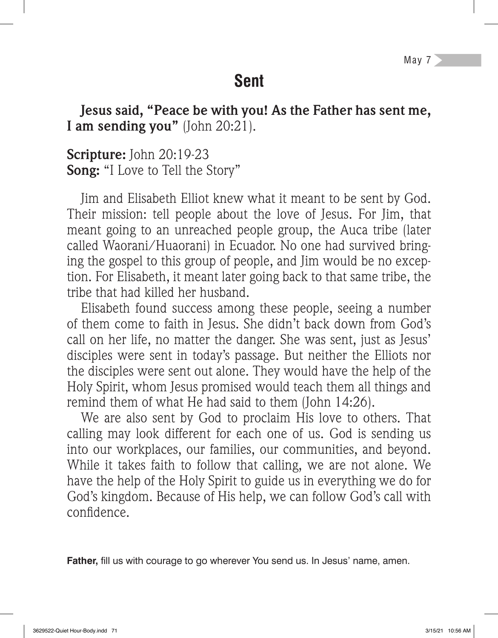### **Sent**

**Jesus said, "Peace be with you! As the Father has sent me, I am sending you"** (John 20:21).

**Scripture:** John 20:19-23 **Song:** "I Love to Tell the Story"

Jim and Elisabeth Elliot knew what it meant to be sent by God. Their mission: tell people about the love of Jesus. For Jim, that meant going to an unreached people group, the Auca tribe (later called Waorani/Huaorani) in Ecuador. No one had survived bringing the gospel to this group of people, and Jim would be no exception. For Elisabeth, it meant later going back to that same tribe, the tribe that had killed her husband.

Elisabeth found success among these people, seeing a number of them come to faith in Jesus. She didn't back down from God's call on her life, no matter the danger. She was sent, just as Jesus' disciples were sent in today's passage. But neither the Elliots nor the disciples were sent out alone. They would have the help of the Holy Spirit, whom Jesus promised would teach them all things and remind them of what He had said to them (John 14:26).

We are also sent by God to proclaim His love to others. That calling may look different for each one of us. God is sending us into our workplaces, our families, our communities, and beyond. While it takes faith to follow that calling, we are not alone. We have the help of the Holy Spirit to guide us in everything we do for God's kingdom. Because of His help, we can follow God's call with confidence.

**Father,** fill us with courage to go wherever You send us. In Jesus' name, amen.